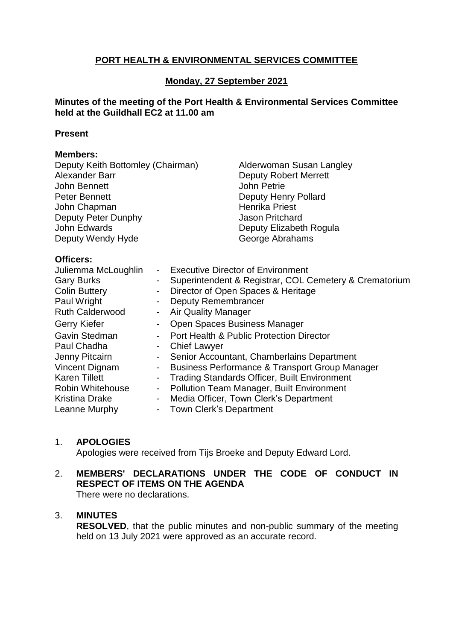# **PORT HEALTH & ENVIRONMENTAL SERVICES COMMITTEE**

# **Monday, 27 September 2021**

### **Minutes of the meeting of the Port Health & Environmental Services Committee held at the Guildhall EC2 at 11.00 am**

#### **Present**

### **Members:**

| Deputy Keith Bottomley (Chairman) | Alderwoman Susan Langley     |
|-----------------------------------|------------------------------|
| Alexander Barr                    | <b>Deputy Robert Merrett</b> |
| John Bennett                      | John Petrie                  |
| Peter Bennett                     | <b>Deputy Henry Pollard</b>  |
| John Chapman                      | <b>Henrika Priest</b>        |
| Deputy Peter Dunphy               | <b>Jason Pritchard</b>       |
| John Edwards                      | Deputy Elizabeth Rogula      |
| Deputy Wendy Hyde                 | George Abrahams              |
|                                   |                              |

#### **Officers:**

| $\sim$         | <b>Executive Director of Environment</b>                  |
|----------------|-----------------------------------------------------------|
|                | Superintendent & Registrar, COL Cemetery & Crematorium    |
| $\blacksquare$ | Director of Open Spaces & Heritage                        |
| $\blacksquare$ | <b>Deputy Remembrancer</b>                                |
| $\sim$         | <b>Air Quality Manager</b>                                |
| $\blacksquare$ | <b>Open Spaces Business Manager</b>                       |
| $\sim$         | <b>Port Health &amp; Public Protection Director</b>       |
| $\blacksquare$ | <b>Chief Lawyer</b>                                       |
|                | Senior Accountant, Chamberlains Department                |
| $\sim$         | <b>Business Performance &amp; Transport Group Manager</b> |
| $\sim$         | <b>Trading Standards Officer, Built Environment</b>       |
| $\blacksquare$ | <b>Pollution Team Manager, Built Environment</b>          |
| $\sim$         | Media Officer, Town Clerk's Department                    |
|                | - Town Clerk's Department                                 |
|                |                                                           |

### 1. **APOLOGIES**

Apologies were received from Tijs Broeke and Deputy Edward Lord.

# 2. **MEMBERS' DECLARATIONS UNDER THE CODE OF CONDUCT IN RESPECT OF ITEMS ON THE AGENDA**

There were no declarations.

### 3. **MINUTES**

**RESOLVED**, that the public minutes and non-public summary of the meeting held on 13 July 2021 were approved as an accurate record.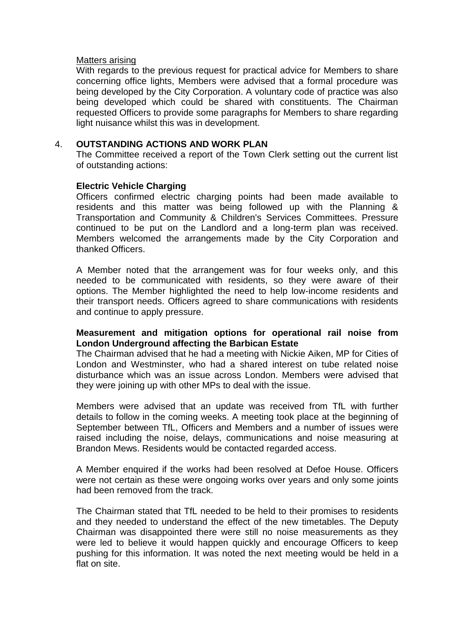#### Matters arising

With regards to the previous request for practical advice for Members to share concerning office lights, Members were advised that a formal procedure was being developed by the City Corporation. A voluntary code of practice was also being developed which could be shared with constituents. The Chairman requested Officers to provide some paragraphs for Members to share regarding light nuisance whilst this was in development.

### 4. **OUTSTANDING ACTIONS AND WORK PLAN**

The Committee received a report of the Town Clerk setting out the current list of outstanding actions:

### **Electric Vehicle Charging**

Officers confirmed electric charging points had been made available to residents and this matter was being followed up with the Planning & Transportation and Community & Children's Services Committees. Pressure continued to be put on the Landlord and a long-term plan was received. Members welcomed the arrangements made by the City Corporation and thanked Officers.

A Member noted that the arrangement was for four weeks only, and this needed to be communicated with residents, so they were aware of their options. The Member highlighted the need to help low-income residents and their transport needs. Officers agreed to share communications with residents and continue to apply pressure.

### **Measurement and mitigation options for operational rail noise from London Underground affecting the Barbican Estate**

The Chairman advised that he had a meeting with Nickie Aiken, MP for Cities of London and Westminster, who had a shared interest on tube related noise disturbance which was an issue across London. Members were advised that they were joining up with other MPs to deal with the issue.

Members were advised that an update was received from TfL with further details to follow in the coming weeks. A meeting took place at the beginning of September between TfL, Officers and Members and a number of issues were raised including the noise, delays, communications and noise measuring at Brandon Mews. Residents would be contacted regarded access.

A Member enquired if the works had been resolved at Defoe House. Officers were not certain as these were ongoing works over years and only some joints had been removed from the track.

The Chairman stated that TfL needed to be held to their promises to residents and they needed to understand the effect of the new timetables. The Deputy Chairman was disappointed there were still no noise measurements as they were led to believe it would happen quickly and encourage Officers to keep pushing for this information. It was noted the next meeting would be held in a flat on site.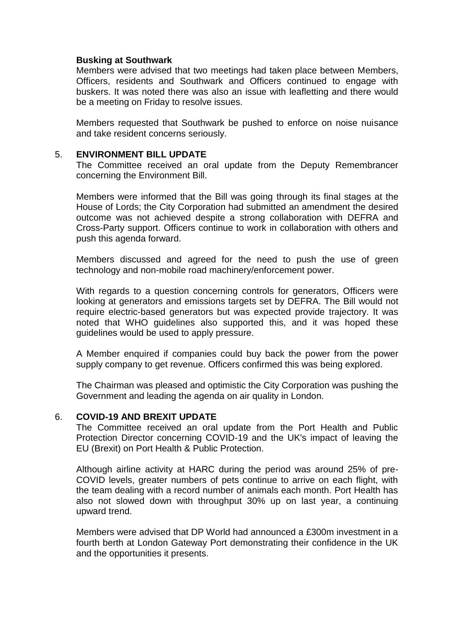#### **Busking at Southwark**

Members were advised that two meetings had taken place between Members, Officers, residents and Southwark and Officers continued to engage with buskers. It was noted there was also an issue with leafletting and there would be a meeting on Friday to resolve issues.

Members requested that Southwark be pushed to enforce on noise nuisance and take resident concerns seriously.

#### 5. **ENVIRONMENT BILL UPDATE**

The Committee received an oral update from the Deputy Remembrancer concerning the Environment Bill.

Members were informed that the Bill was going through its final stages at the House of Lords; the City Corporation had submitted an amendment the desired outcome was not achieved despite a strong collaboration with DEFRA and Cross-Party support. Officers continue to work in collaboration with others and push this agenda forward.

Members discussed and agreed for the need to push the use of green technology and non-mobile road machinery/enforcement power.

With regards to a question concerning controls for generators, Officers were looking at generators and emissions targets set by DEFRA. The Bill would not require electric-based generators but was expected provide trajectory. It was noted that WHO guidelines also supported this, and it was hoped these guidelines would be used to apply pressure.

A Member enquired if companies could buy back the power from the power supply company to get revenue. Officers confirmed this was being explored.

The Chairman was pleased and optimistic the City Corporation was pushing the Government and leading the agenda on air quality in London.

#### 6. **COVID-19 AND BREXIT UPDATE**

The Committee received an oral update from the Port Health and Public Protection Director concerning COVID-19 and the UK's impact of leaving the EU (Brexit) on Port Health & Public Protection.

Although airline activity at HARC during the period was around 25% of pre-COVID levels, greater numbers of pets continue to arrive on each flight, with the team dealing with a record number of animals each month. Port Health has also not slowed down with throughput 30% up on last year, a continuing upward trend.

Members were advised that DP World had announced a £300m investment in a fourth berth at London Gateway Port demonstrating their confidence in the UK and the opportunities it presents.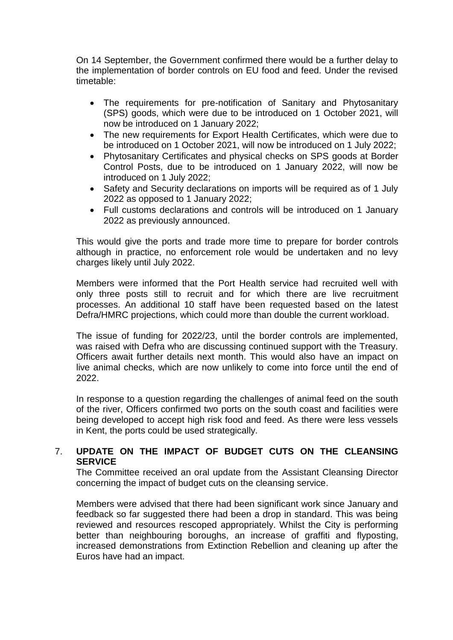On 14 September, the Government confirmed there would be a further delay to the implementation of border controls on EU food and feed. Under the revised timetable:

- The requirements for pre-notification of Sanitary and Phytosanitary (SPS) goods, which were due to be introduced on 1 October 2021, will now be introduced on 1 January 2022;
- The new requirements for Export Health Certificates, which were due to be introduced on 1 October 2021, will now be introduced on 1 July 2022;
- Phytosanitary Certificates and physical checks on SPS goods at Border Control Posts, due to be introduced on 1 January 2022, will now be introduced on 1 July 2022;
- Safety and Security declarations on imports will be required as of 1 July 2022 as opposed to 1 January 2022;
- Full customs declarations and controls will be introduced on 1 January 2022 as previously announced.

This would give the ports and trade more time to prepare for border controls although in practice, no enforcement role would be undertaken and no levy charges likely until July 2022.

Members were informed that the Port Health service had recruited well with only three posts still to recruit and for which there are live recruitment processes. An additional 10 staff have been requested based on the latest Defra/HMRC projections, which could more than double the current workload.

The issue of funding for 2022/23, until the border controls are implemented, was raised with Defra who are discussing continued support with the Treasury. Officers await further details next month. This would also have an impact on live animal checks, which are now unlikely to come into force until the end of 2022.

In response to a question regarding the challenges of animal feed on the south of the river, Officers confirmed two ports on the south coast and facilities were being developed to accept high risk food and feed. As there were less vessels in Kent, the ports could be used strategically.

# 7. **UPDATE ON THE IMPACT OF BUDGET CUTS ON THE CLEANSING SERVICE**

The Committee received an oral update from the Assistant Cleansing Director concerning the impact of budget cuts on the cleansing service.

Members were advised that there had been significant work since January and feedback so far suggested there had been a drop in standard. This was being reviewed and resources rescoped appropriately. Whilst the City is performing better than neighbouring boroughs, an increase of graffiti and flyposting, increased demonstrations from Extinction Rebellion and cleaning up after the Euros have had an impact.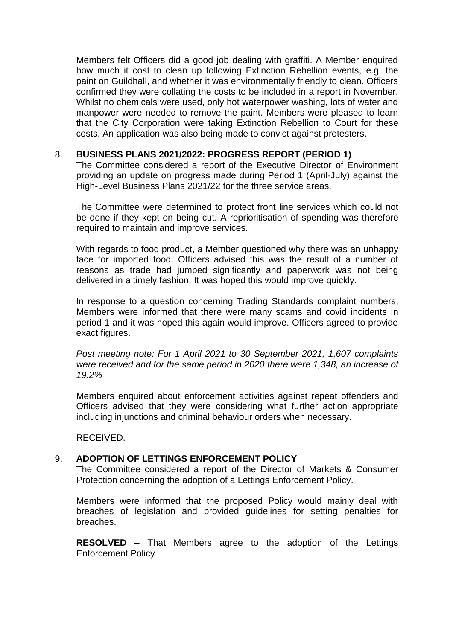Members felt Officers did a good job dealing with graffiti. A Member enquired how much it cost to clean up following Extinction Rebellion events, e.g. the paint on Guildhall, and whether it was environmentally friendly to clean. Officers confirmed they were collating the costs to be included in a report in November. Whilst no chemicals were used, only hot waterpower washing, lots of water and manpower were needed to remove the paint. Members were pleased to learn that the City Corporation were taking Extinction Rebellion to Court for these costs. An application was also being made to convict against protesters.

#### 8. **BUSINESS PLANS 2021/2022: PROGRESS REPORT (PERIOD 1)**

The Committee considered a report of the Executive Director of Environment providing an update on progress made during Period 1 (April-July) against the High-Level Business Plans 2021/22 for the three service areas.

The Committee were determined to protect front line services which could not be done if they kept on being cut. A reprioritisation of spending was therefore required to maintain and improve services.

With regards to food product, a Member questioned why there was an unhappy face for imported food. Officers advised this was the result of a number of reasons as trade had jumped significantly and paperwork was not being delivered in a timely fashion. It was hoped this would improve quickly.

In response to a question concerning Trading Standards complaint numbers, Members were informed that there were many scams and covid incidents in period 1 and it was hoped this again would improve. Officers agreed to provide exact figures.

*Post meeting note: For 1 April 2021 to 30 September 2021, 1,607 complaints were received and for the same period in 2020 there were 1,348, an increase of 19.2%*

Members enquired about enforcement activities against repeat offenders and Officers advised that they were considering what further action appropriate including injunctions and criminal behaviour orders when necessary.

RECEIVED.

### 9. **ADOPTION OF LETTINGS ENFORCEMENT POLICY**

The Committee considered a report of the Director of Markets & Consumer Protection concerning the adoption of a Lettings Enforcement Policy.

Members were informed that the proposed Policy would mainly deal with breaches of legislation and provided guidelines for setting penalties for breaches.

**RESOLVED** – That Members agree to the adoption of the Lettings Enforcement Policy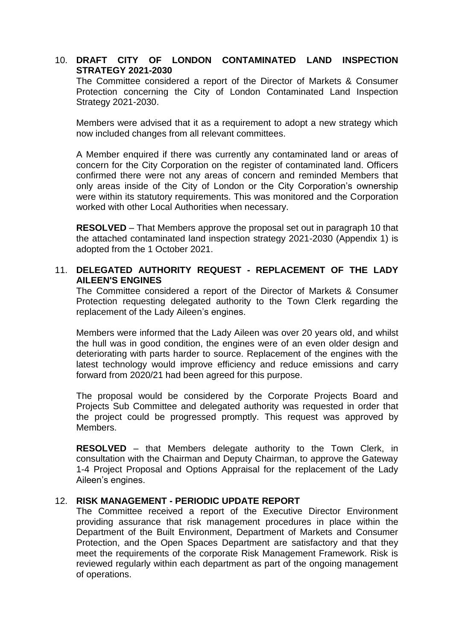# 10. **DRAFT CITY OF LONDON CONTAMINATED LAND INSPECTION STRATEGY 2021-2030**

The Committee considered a report of the Director of Markets & Consumer Protection concerning the City of London Contaminated Land Inspection Strategy 2021-2030.

Members were advised that it as a requirement to adopt a new strategy which now included changes from all relevant committees.

A Member enquired if there was currently any contaminated land or areas of concern for the City Corporation on the register of contaminated land. Officers confirmed there were not any areas of concern and reminded Members that only areas inside of the City of London or the City Corporation's ownership were within its statutory requirements. This was monitored and the Corporation worked with other Local Authorities when necessary.

**RESOLVED** – That Members approve the proposal set out in paragraph 10 that the attached contaminated land inspection strategy 2021-2030 (Appendix 1) is adopted from the 1 October 2021.

### 11. **DELEGATED AUTHORITY REQUEST - REPLACEMENT OF THE LADY AILEEN'S ENGINES**

The Committee considered a report of the Director of Markets & Consumer Protection requesting delegated authority to the Town Clerk regarding the replacement of the Lady Aileen's engines.

Members were informed that the Lady Aileen was over 20 years old, and whilst the hull was in good condition, the engines were of an even older design and deteriorating with parts harder to source. Replacement of the engines with the latest technology would improve efficiency and reduce emissions and carry forward from 2020/21 had been agreed for this purpose.

The proposal would be considered by the Corporate Projects Board and Projects Sub Committee and delegated authority was requested in order that the project could be progressed promptly. This request was approved by Members.

**RESOLVED** – that Members delegate authority to the Town Clerk, in consultation with the Chairman and Deputy Chairman, to approve the Gateway 1-4 Project Proposal and Options Appraisal for the replacement of the Lady Aileen's engines.

### 12. **RISK MANAGEMENT - PERIODIC UPDATE REPORT**

The Committee received a report of the Executive Director Environment providing assurance that risk management procedures in place within the Department of the Built Environment, Department of Markets and Consumer Protection, and the Open Spaces Department are satisfactory and that they meet the requirements of the corporate Risk Management Framework. Risk is reviewed regularly within each department as part of the ongoing management of operations.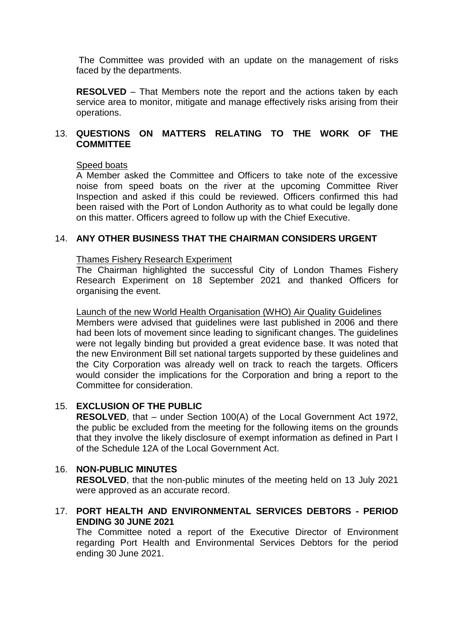The Committee was provided with an update on the management of risks faced by the departments.

**RESOLVED** – That Members note the report and the actions taken by each service area to monitor, mitigate and manage effectively risks arising from their operations.

# 13. **QUESTIONS ON MATTERS RELATING TO THE WORK OF THE COMMITTEE**

#### Speed boats

A Member asked the Committee and Officers to take note of the excessive noise from speed boats on the river at the upcoming Committee River Inspection and asked if this could be reviewed. Officers confirmed this had been raised with the Port of London Authority as to what could be legally done on this matter. Officers agreed to follow up with the Chief Executive.

### 14. **ANY OTHER BUSINESS THAT THE CHAIRMAN CONSIDERS URGENT**

#### Thames Fishery Research Experiment

The Chairman highlighted the successful City of London Thames Fishery Research Experiment on 18 September 2021 and thanked Officers for organising the event.

#### Launch of the new World Health Organisation (WHO) Air Quality Guidelines

Members were advised that guidelines were last published in 2006 and there had been lots of movement since leading to significant changes. The guidelines were not legally binding but provided a great evidence base. It was noted that the new Environment Bill set national targets supported by these guidelines and the City Corporation was already well on track to reach the targets. Officers would consider the implications for the Corporation and bring a report to the Committee for consideration.

# 15. **EXCLUSION OF THE PUBLIC**

**RESOLVED**, that – under Section 100(A) of the Local Government Act 1972, the public be excluded from the meeting for the following items on the grounds that they involve the likely disclosure of exempt information as defined in Part I of the Schedule 12A of the Local Government Act.

### 16. **NON-PUBLIC MINUTES**

**RESOLVED**, that the non-public minutes of the meeting held on 13 July 2021 were approved as an accurate record.

### 17. **PORT HEALTH AND ENVIRONMENTAL SERVICES DEBTORS - PERIOD ENDING 30 JUNE 2021**

The Committee noted a report of the Executive Director of Environment regarding Port Health and Environmental Services Debtors for the period ending 30 June 2021.